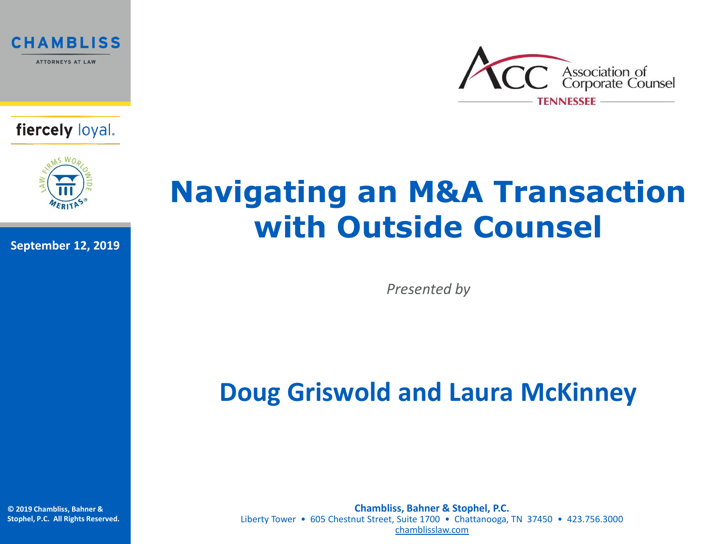





**September 12, 2019**



## **Navigating an M&A Transaction with Outside Counsel**

*Presented by*

### **Doug Griswold and Laura McKinney**

**© 2019 Chambliss, Bahner & Stophel, P.C. All Rights Reserved.**

**Chambliss, Bahner & Stophel, P.C.** Liberty Tower • 605 Chestnut Street, Suite 1700 • Chattanooga, TN 37450 • 423.756.3000 [chamblisslaw.com](http://www.chamblisslaw.com/)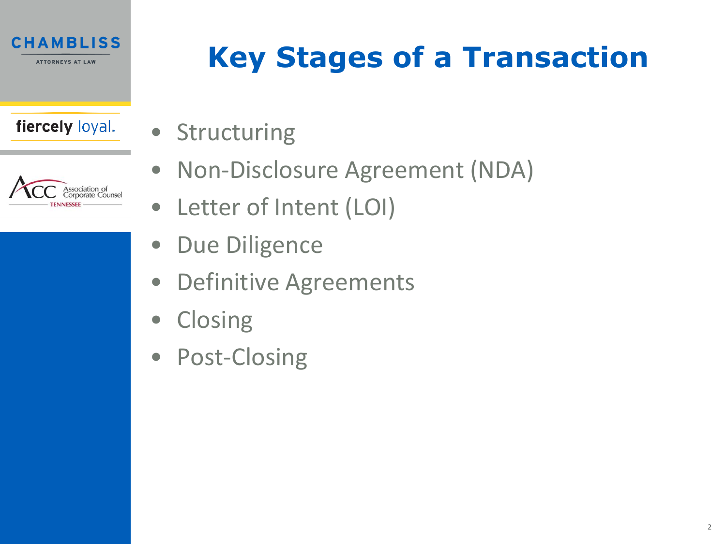



# **Key Stages of a Transaction**

- Structuring
	- Non-Disclosure Agreement (NDA)
- Letter of Intent (LOI)
- Due Diligence
- Definitive Agreements
- Closing
- Post-Closing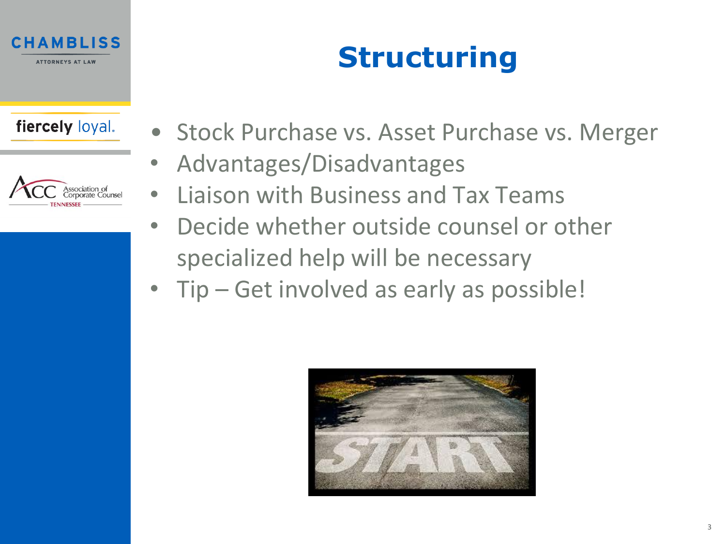

# **Structuring**

### fiercely loyal.



- Stock Purchase vs. Asset Purchase vs. Merger
	- Advantages/Disadvantages
- Liaison with Business and Tax Teams
- Decide whether outside counsel or other specialized help will be necessary
- Tip Get involved as early as possible!

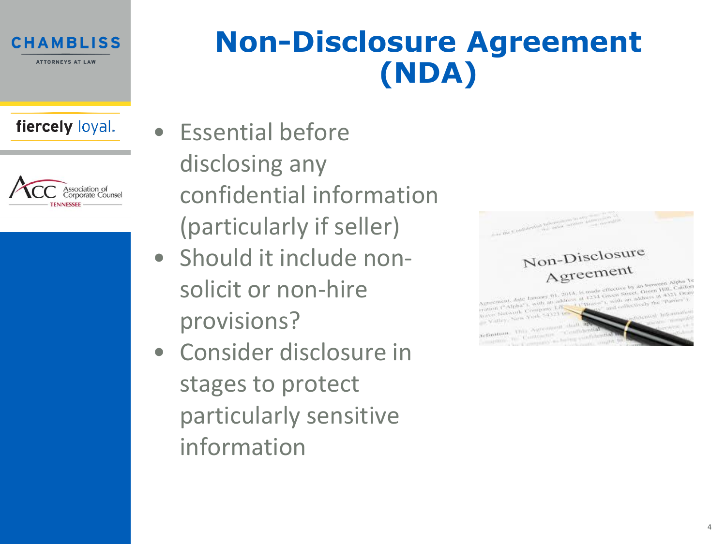

## **Non-Disclosure Agreement (NDA)**

### fiercely loyal.



- Essential before disclosing any confidential information (particularly if seller)
- Should it include nonsolicit or non-hire provisions?
- Consider disclosure in stages to protect particularly sensitive information

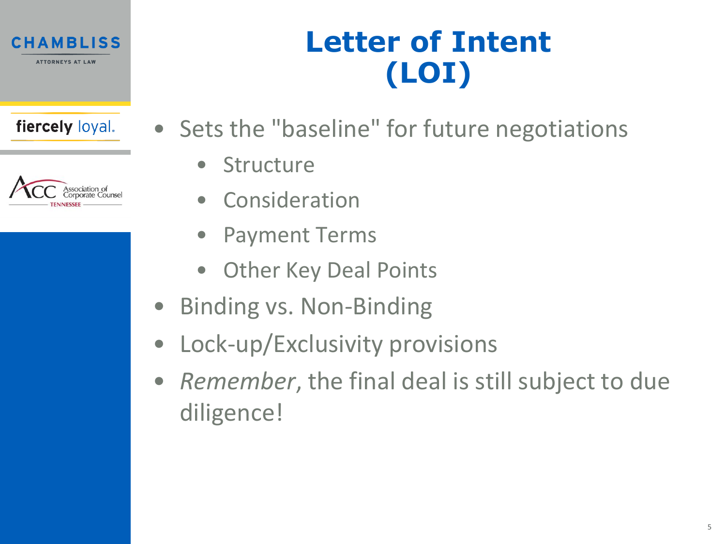



# **Letter of Intent (LOI)**

- Sets the "baseline" for future negotiations
	- Structure
	- Consideration
	- Payment Terms
	- Other Key Deal Points
- Binding vs. Non-Binding
- Lock-up/Exclusivity provisions
- *Remember*, the final deal is still subject to due diligence!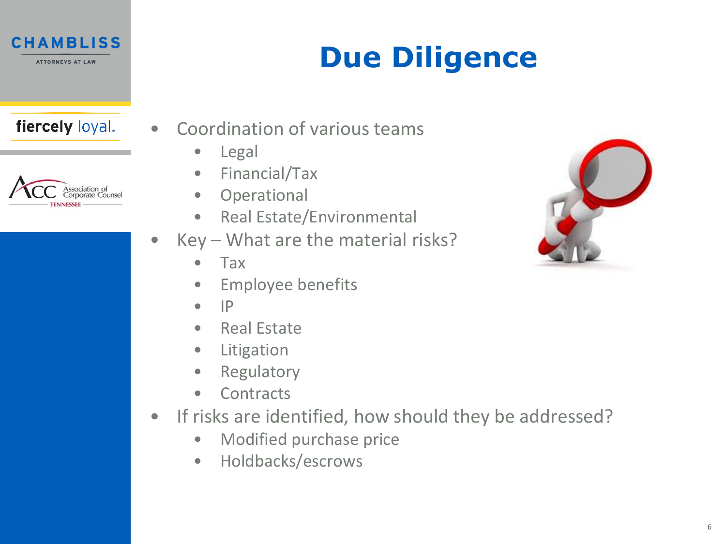

# **Due Diligence**

### fiercely loyal.



- Coordination of various teams
	- Legal
	- Financial/Tax
	- Operational
	- Real Estate/Environmental
- $Key What are the material risks?$ 
	- Tax
	- Employee benefits
	- $\bullet$  IP
	- Real Estate
	- Litigation
	- Regulatory
	- Contracts
- If risks are identified, how should they be addressed?
	- Modified purchase price
	- Holdbacks/escrows

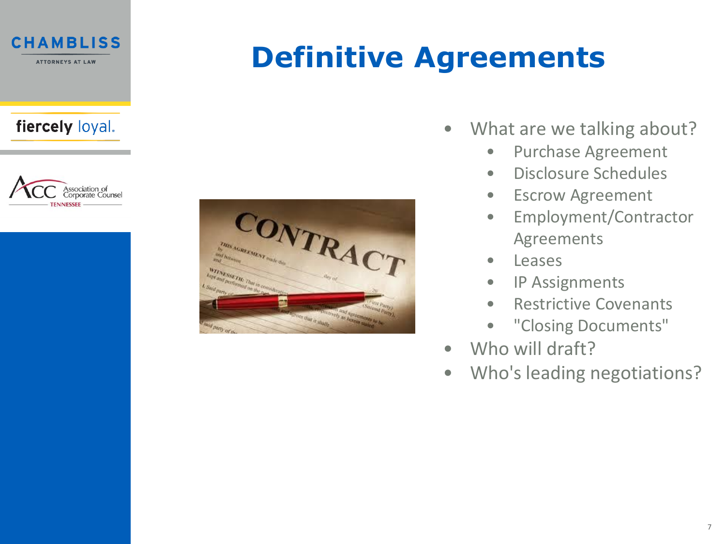



# **Definitive Agreements**



- What are we talking about?
	- Purchase Agreement
	- Disclosure Schedules
	- Escrow Agreement
	- Employment/Contractor Agreements
	- Leases
	- IP Assignments
	- Restrictive Covenants
	- "Closing Documents"
- Who will draft?
- Who's leading negotiations?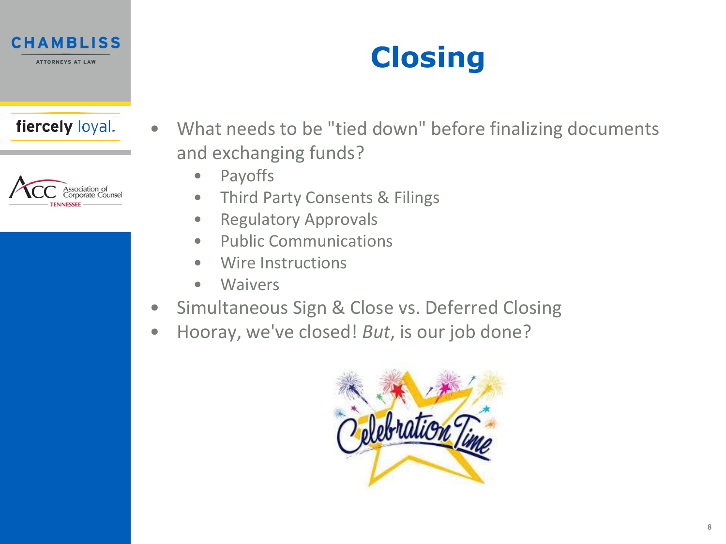



• What needs to be "tied down" before finalizing documents and exchanging funds?

**Closing**

- Payoffs
- Third Party Consents & Filings
- Regulatory Approvals
- Public Communications
- Wire Instructions
- Waivers
- Simultaneous Sign & Close vs. Deferred Closing
- Hooray, we've closed! *But*, is our job done?

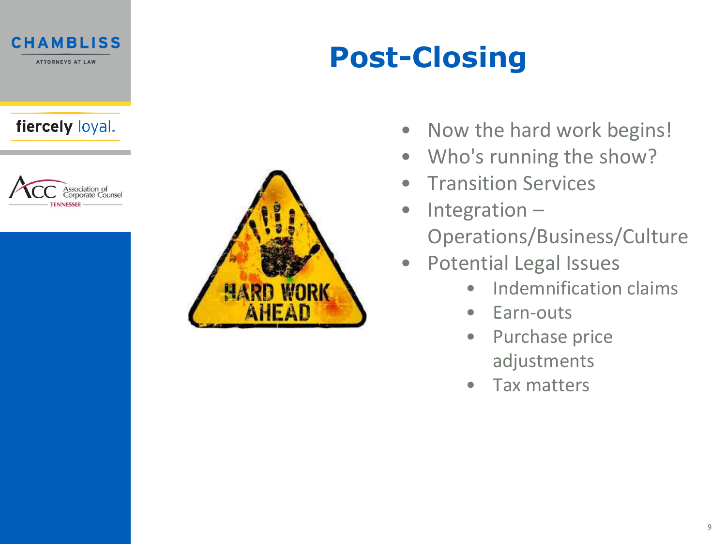





# **Post-Closing**

- Now the hard work begins!
- Who's running the show?
- Transition Services
- Integration Operations/Business/Culture
- Potential Legal Issues
	- Indemnification claims
	- Earn-outs
	- Purchase price adjustments
	- Tax matters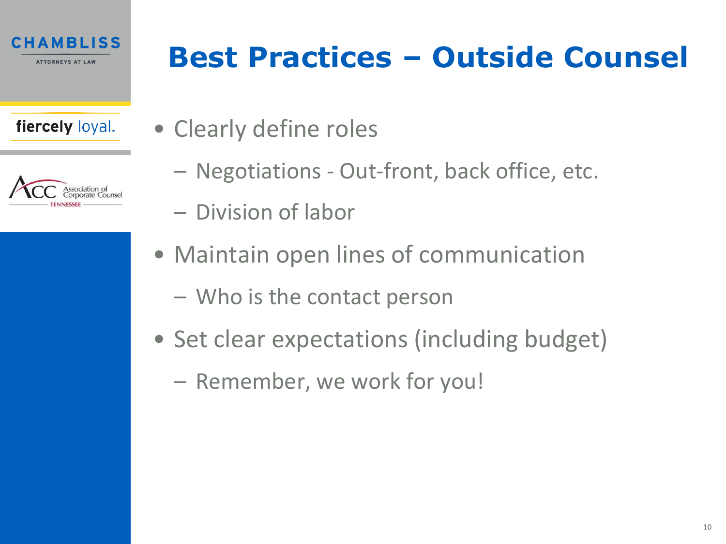

| Association of<br>Corporate Counsel |
|-------------------------------------|
| <b>TENNESSEE</b>                    |

## **Best Practices – Outside Counsel**

- Clearly define roles
	- Negotiations Out-front, back office, etc.
	- Division of labor
	- Maintain open lines of communication
		- Who is the contact person
	- Set clear expectations (including budget)
		- Remember, we work for you!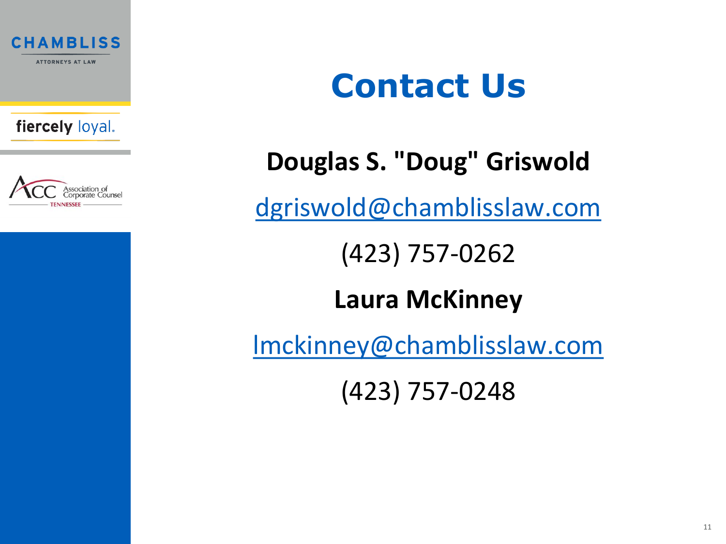



# **Contact Us**

## **Douglas S. "Doug" Griswold**

[dgriswold@chamblisslaw.com](mailto:dgriswold@chamblisslaw.com)

(423) 757-0262

## **Laura McKinney**

[lmckinney@chamblisslaw.com](mailto:lmckinney@chamblisslaw.com)

(423) 757-0248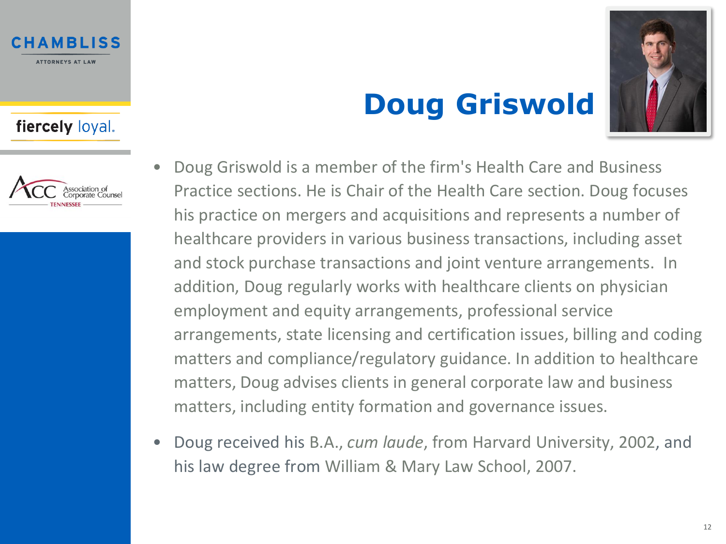

## **Doug Griswold**



- Doug Griswold is a member of the firm's Health Care and Business Practice sections. He is Chair of the Health Care section. Doug focuses his practice on mergers and acquisitions and represents a number of healthcare providers in various business transactions, including asset and stock purchase transactions and joint venture arrangements. In addition, Doug regularly works with healthcare clients on physician employment and equity arrangements, professional service arrangements, state licensing and certification issues, billing and coding matters and compliance/regulatory guidance. In addition to healthcare matters, Doug advises clients in general corporate law and business matters, including entity formation and governance issues.
- Doug received his B.A., *cum laude*, from Harvard University, 2002, and his law degree from William & Mary Law School, 2007.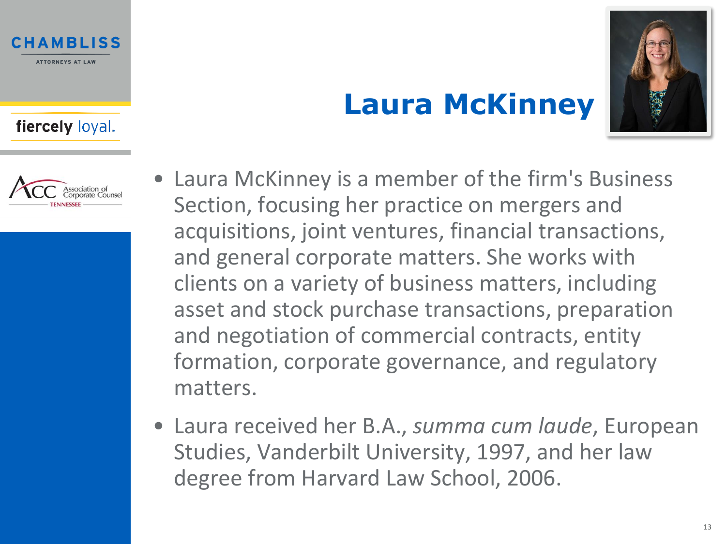

## **Laura McKinney**



- Laura McKinney is a member of the firm's Business Section, focusing her practice on mergers and acquisitions, joint ventures, financial transactions, and general corporate matters. She works with clients on a variety of business matters, including asset and stock purchase transactions, preparation and negotiation of commercial contracts, entity formation, corporate governance, and regulatory matters.
- Laura received her B.A., *summa cum laude*, European Studies, Vanderbilt University, 1997, and her law degree from Harvard Law School, 2006.